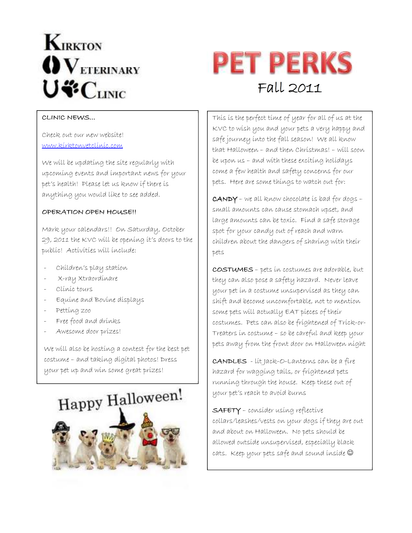# **KIRKTON**  $\mathbf{O}\mathbf{V}_{\text{ETERINARY}}$ U"CLINIC



# CLINIC NEWS…

Check out our new website! www.kirktonvetclinic.com

We will be updating the site regularly with upcoming events and important news for your pet's health! Please let us know if there is anything you would like to see added.

## OPERATION OPEN HOUSE !!

Mark your calendars!! On Saturday, October 29, 2011 the KVC will be opening it's doors to the public! Activities will include:

- Children's play station
- X-ray Xtraordinare
- Clinic tours
- Equine and Bovine displays
- Petting zoo
- Free food and drinks
- Awesome door prizes!

We will also be hosting a contest for the best pet costume – and taking digital photos! Dress your pet up and win some great prizes!



This is the perfect time of year for all of us at the KVC to wish you and your pets a very happy and safe journey into the fall season! We all know that Halloween – and then Christmas! – will soon be upon us – and with these exciting holidays come a few health and safety concerns for our pets. Here are some things to watch out for:

 $c$ ANDY – we all know chocolate is bad for dogs – small amounts can cause stomach upset, and large amounts can be toxic. Find a safe storage spot for your candy out of reach and warn children about the dangers of sharing with their pets

**COSTUMES** - pets in costumes are adorable, but they can also pose a safety hazard. Never leave your pet in a costume unsupervised as they can shift and become uncomfortable, not to mention some pets will actually EAT pieces of their costumes. Pets can also be frightened of Trick-or-Treaters in costume – so be careful and keep your pets away from the front door on Halloween night

CANDLES - lit Jack-O-Lanterns can be a fire hazard for wagging tails, or frightened pets running through the house. Keep these out of your pet's reach to avoid burns

SAFETY - consider using reflective collars/leashes/vests on your dogs if they are out and about on Halloween. No pets should be allowed outside unsupervised, especially black cats. Keep your pets safe and sound inside  $\odot$